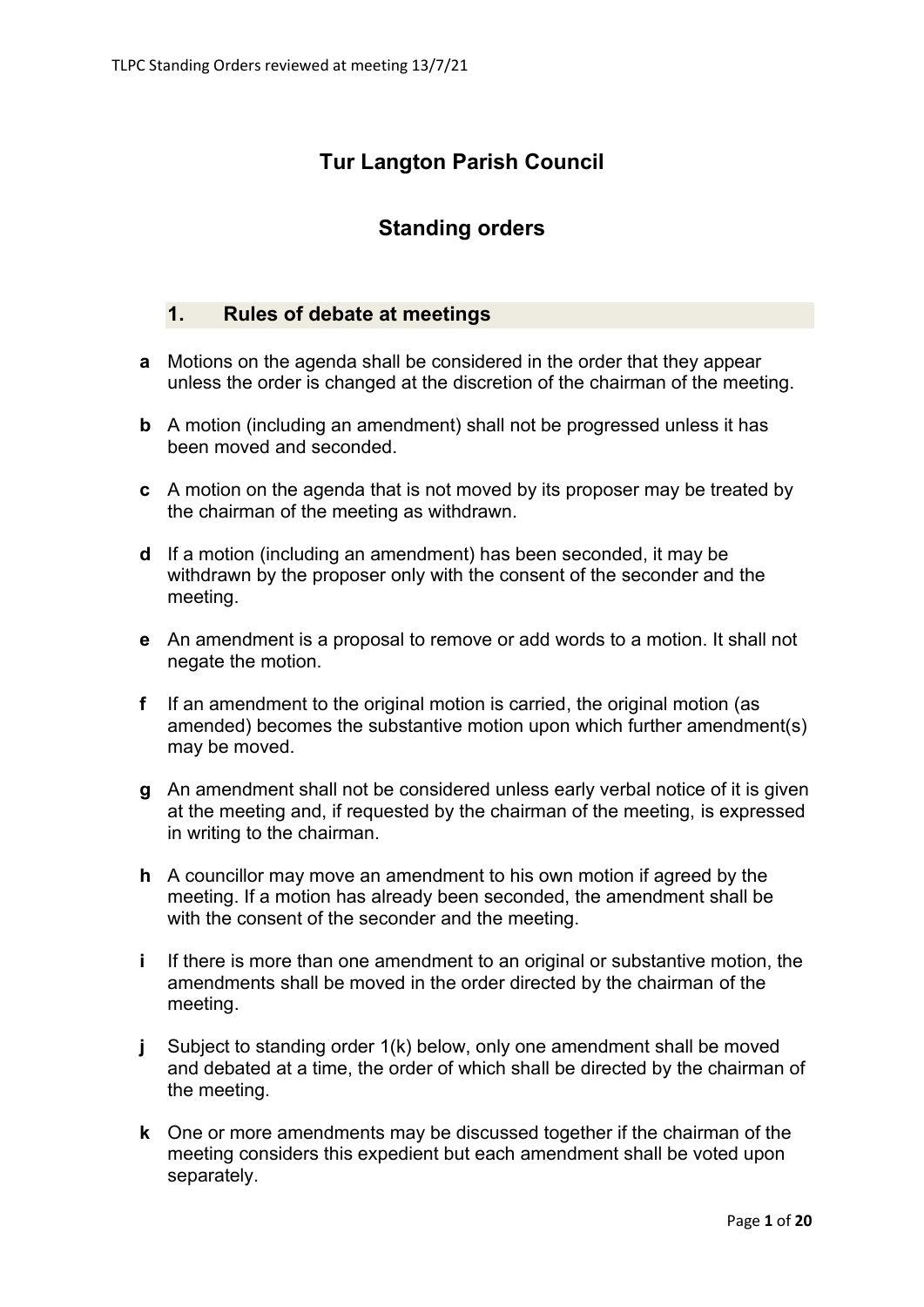# **Tur Langton Parish Council**

# **Standing orders**

# **1. Rules of debate at meetings**

- **a** Motions on the agenda shall be considered in the order that they appear unless the order is changed at the discretion of the chairman of the meeting.
- **b** A motion (including an amendment) shall not be progressed unless it has been moved and seconded.
- **c** A motion on the agenda that is not moved by its proposer may be treated by the chairman of the meeting as withdrawn.
- **d** If a motion (including an amendment) has been seconded, it may be withdrawn by the proposer only with the consent of the seconder and the meeting.
- **e** An amendment is a proposal to remove or add words to a motion. It shall not negate the motion.
- **f** If an amendment to the original motion is carried, the original motion (as amended) becomes the substantive motion upon which further amendment(s) may be moved.
- **g** An amendment shall not be considered unless early verbal notice of it is given at the meeting and, if requested by the chairman of the meeting, is expressed in writing to the chairman.
- **h** A councillor may move an amendment to his own motion if agreed by the meeting. If a motion has already been seconded, the amendment shall be with the consent of the seconder and the meeting.
- **i** If there is more than one amendment to an original or substantive motion, the amendments shall be moved in the order directed by the chairman of the meeting.
- **j** Subject to standing order 1(k) below, only one amendment shall be moved and debated at a time, the order of which shall be directed by the chairman of the meeting.
- **k** One or more amendments may be discussed together if the chairman of the meeting considers this expedient but each amendment shall be voted upon separately.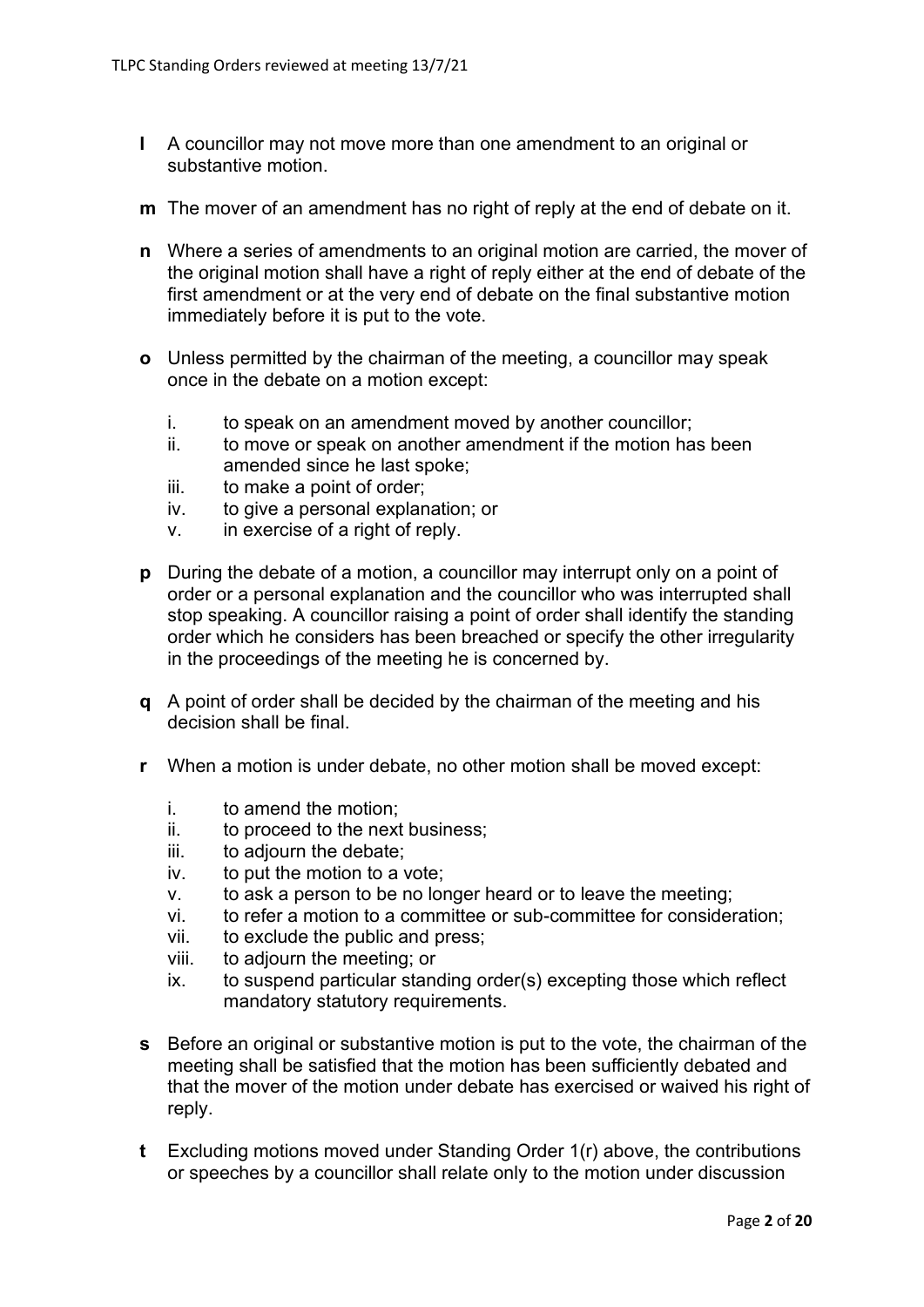- **l** A councillor may not move more than one amendment to an original or substantive motion.
- **m** The mover of an amendment has no right of reply at the end of debate on it.
- **n** Where a series of amendments to an original motion are carried, the mover of the original motion shall have a right of reply either at the end of debate of the first amendment or at the very end of debate on the final substantive motion immediately before it is put to the vote.
- **o** Unless permitted by the chairman of the meeting, a councillor may speak once in the debate on a motion except:
	- i. to speak on an amendment moved by another councillor;
	- ii. to move or speak on another amendment if the motion has been amended since he last spoke;
	- iii. to make a point of order;
	- iv. to give a personal explanation; or
	- v. in exercise of a right of reply.
- **p** During the debate of a motion, a councillor may interrupt only on a point of order or a personal explanation and the councillor who was interrupted shall stop speaking. A councillor raising a point of order shall identify the standing order which he considers has been breached or specify the other irregularity in the proceedings of the meeting he is concerned by.
- **q** A point of order shall be decided by the chairman of the meeting and his decision shall be final.
- **r** When a motion is under debate, no other motion shall be moved except:
	- i. to amend the motion;
	- ii. to proceed to the next business;
	- iii. to adjourn the debate;
	- iv. to put the motion to a vote;
	- v. to ask a person to be no longer heard or to leave the meeting;
	- vi. to refer a motion to a committee or sub-committee for consideration;
	- vii. to exclude the public and press;
	- viii. to adjourn the meeting; or
	- ix. to suspend particular standing order(s) excepting those which reflect mandatory statutory requirements.
- **s** Before an original or substantive motion is put to the vote, the chairman of the meeting shall be satisfied that the motion has been sufficiently debated and that the mover of the motion under debate has exercised or waived his right of reply.
- **t** Excluding motions moved under Standing Order 1(r) above, the contributions or speeches by a councillor shall relate only to the motion under discussion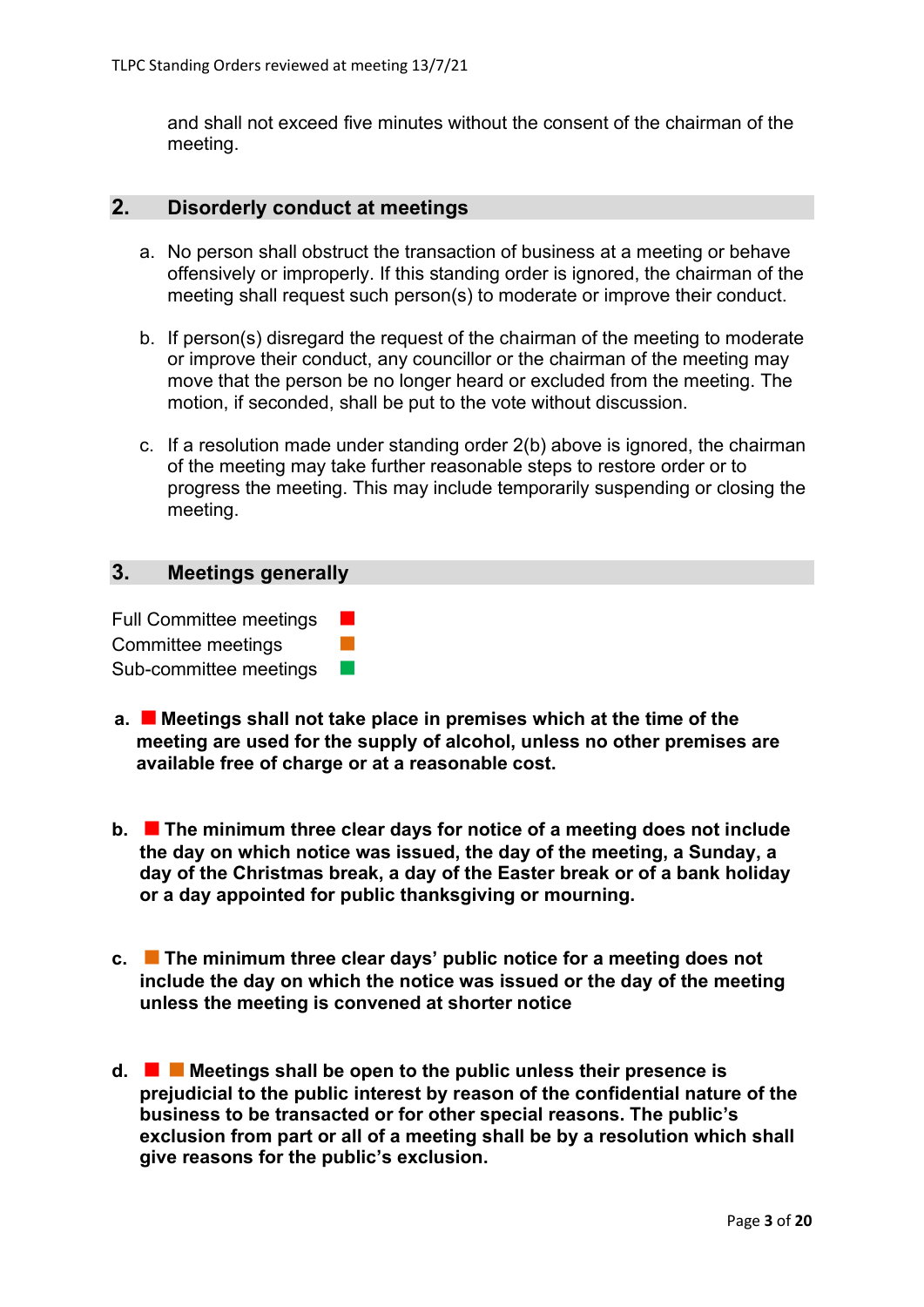and shall not exceed five minutes without the consent of the chairman of the meeting.

### **2. Disorderly conduct at meetings**

- a. No person shall obstruct the transaction of business at a meeting or behave offensively or improperly. If this standing order is ignored, the chairman of the meeting shall request such person(s) to moderate or improve their conduct.
- b. If person(s) disregard the request of the chairman of the meeting to moderate or improve their conduct, any councillor or the chairman of the meeting may move that the person be no longer heard or excluded from the meeting. The motion, if seconded, shall be put to the vote without discussion.
- c. If a resolution made under standing order 2(b) above is ignored, the chairman of the meeting may take further reasonable steps to restore order or to progress the meeting. This may include temporarily suspending or closing the meeting.

# **3. Meetings generally**

Full Committee meetings Committee meetings Sub-committee meetings

- **a. Meetings shall not take place in premises which at the time of the meeting are used for the supply of alcohol, unless no other premises are available free of charge or at a reasonable cost.**
- **b. The minimum three clear days for notice of a meeting does not include the day on which notice was issued, the day of the meeting, a Sunday, a day of the Christmas break, a day of the Easter break or of a bank holiday or a day appointed for public thanksgiving or mourning.**
- **c. The minimum three clear days' public notice for a meeting does not include the day on which the notice was issued or the day of the meeting unless the meeting is convened at shorter notice**
- **d. Meetings shall be open to the public unless their presence is prejudicial to the public interest by reason of the confidential nature of the business to be transacted or for other special reasons. The public's exclusion from part or all of a meeting shall be by a resolution which shall give reasons for the public's exclusion.**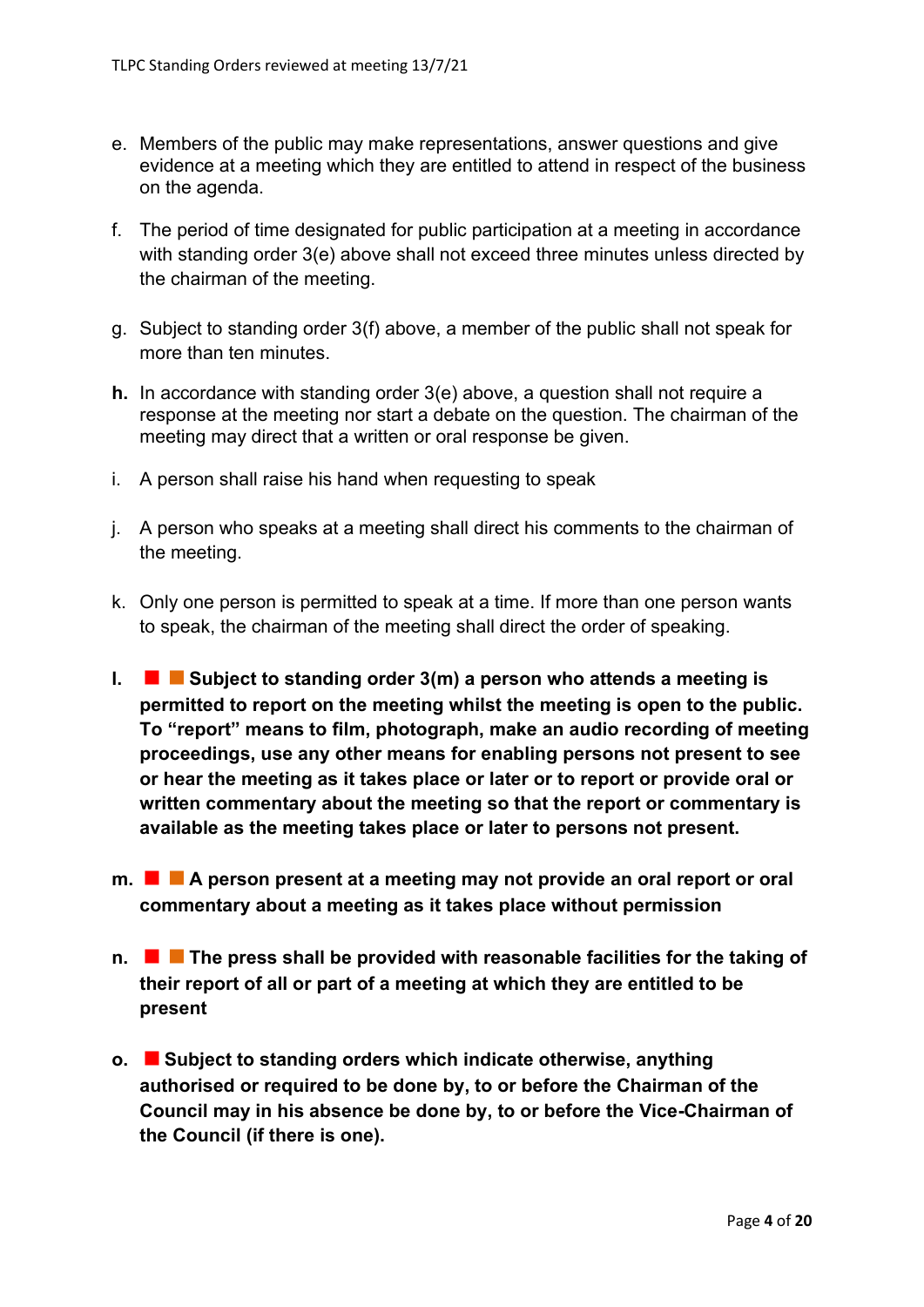- e. Members of the public may make representations, answer questions and give evidence at a meeting which they are entitled to attend in respect of the business on the agenda.
- f. The period of time designated for public participation at a meeting in accordance with standing order 3(e) above shall not exceed three minutes unless directed by the chairman of the meeting.
- g. Subject to standing order 3(f) above, a member of the public shall not speak for more than ten minutes.
- **h.** In accordance with standing order 3(e) above, a question shall not require a response at the meeting nor start a debate on the question. The chairman of the meeting may direct that a written or oral response be given.
- i. A person shall raise his hand when requesting to speak
- j. A person who speaks at a meeting shall direct his comments to the chairman of the meeting.
- k. Only one person is permitted to speak at a time. If more than one person wants to speak, the chairman of the meeting shall direct the order of speaking.
- **l. Subject to standing order 3(m) a person who attends a meeting is permitted to report on the meeting whilst the meeting is open to the public. To "report" means to film, photograph, make an audio recording of meeting proceedings, use any other means for enabling persons not present to see or hear the meeting as it takes place or later or to report or provide oral or written commentary about the meeting so that the report or commentary is available as the meeting takes place or later to persons not present.**
- **m. A person present at a meeting may not provide an oral report or oral commentary about a meeting as it takes place without permission**
- **n. The press shall be provided with reasonable facilities for the taking of their report of all or part of a meeting at which they are entitled to be present**
- **o. Subject to standing orders which indicate otherwise, anything authorised or required to be done by, to or before the Chairman of the Council may in his absence be done by, to or before the Vice-Chairman of the Council (if there is one).**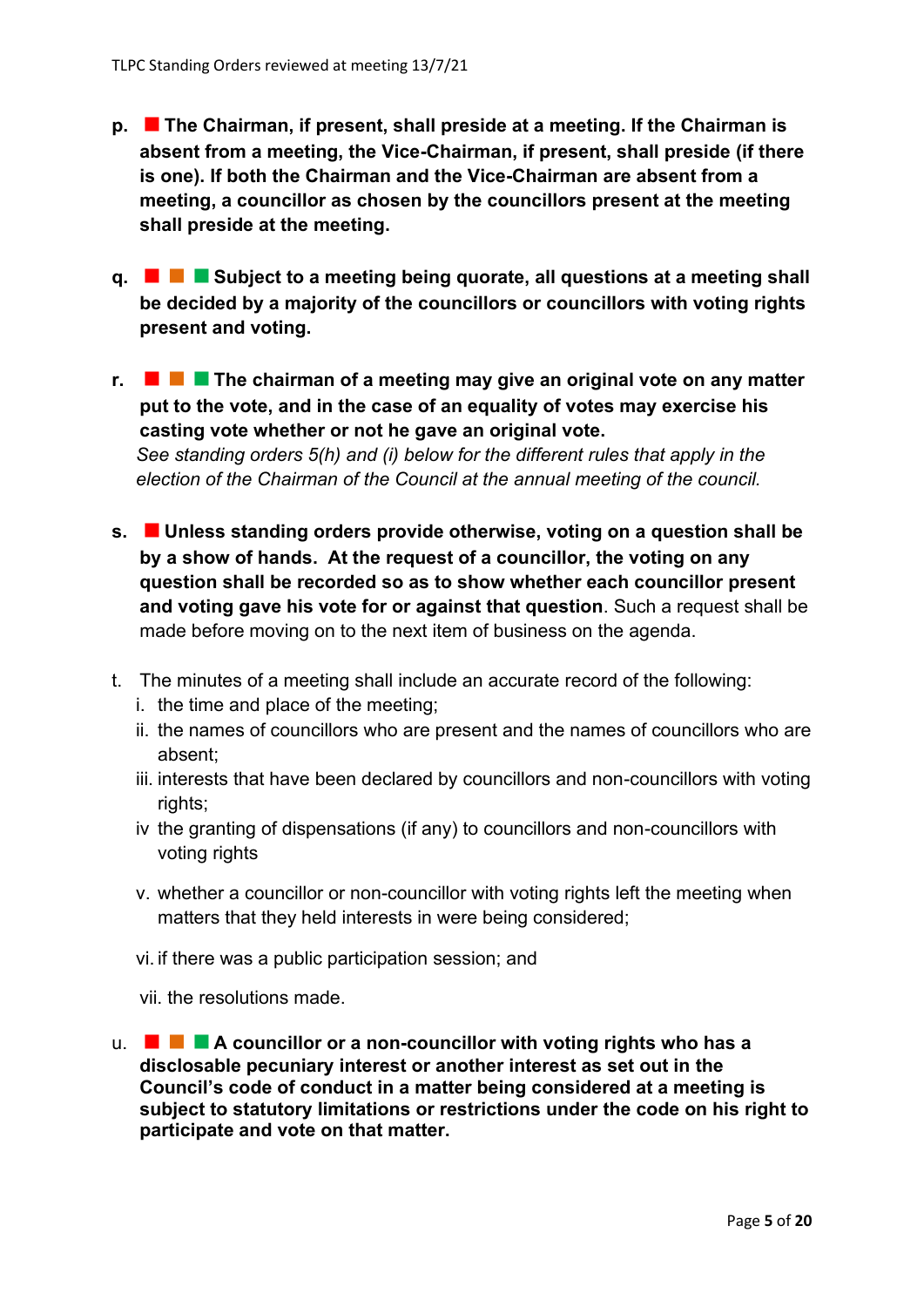- **p. The Chairman, if present, shall preside at a meeting. If the Chairman is absent from a meeting, the Vice-Chairman, if present, shall preside (if there is one). If both the Chairman and the Vice-Chairman are absent from a meeting, a councillor as chosen by the councillors present at the meeting shall preside at the meeting.**
- **q. Subject to a meeting being quorate, all questions at a meeting shall be decided by a majority of the councillors or councillors with voting rights present and voting.**
- **r. The chairman of a meeting may give an original vote on any matter put to the vote, and in the case of an equality of votes may exercise his casting vote whether or not he gave an original vote.** *See standing orders 5(h) and (i) below for the different rules that apply in the election of the Chairman of the Council at the annual meeting of the council.*
- **s. Unless standing orders provide otherwise, voting on a question shall be by a show of hands. At the request of a councillor, the voting on any question shall be recorded so as to show whether each councillor present and voting gave his vote for or against that question**. Such a request shall be made before moving on to the next item of business on the agenda.
- t. The minutes of a meeting shall include an accurate record of the following:
	- i. the time and place of the meeting;
	- ii. the names of councillors who are present and the names of councillors who are absent;
	- iii. interests that have been declared by councillors and non-councillors with voting rights;
	- iv the granting of dispensations (if any) to councillors and non-councillors with voting rights
	- v. whether a councillor or non-councillor with voting rights left the meeting when matters that they held interests in were being considered;
	- vi. if there was a public participation session; and

vii. the resolutions made.

u. **A councillor or a non-councillor with voting rights who has a disclosable pecuniary interest or another interest as set out in the Council's code of conduct in a matter being considered at a meeting is subject to statutory limitations or restrictions under the code on his right to participate and vote on that matter.**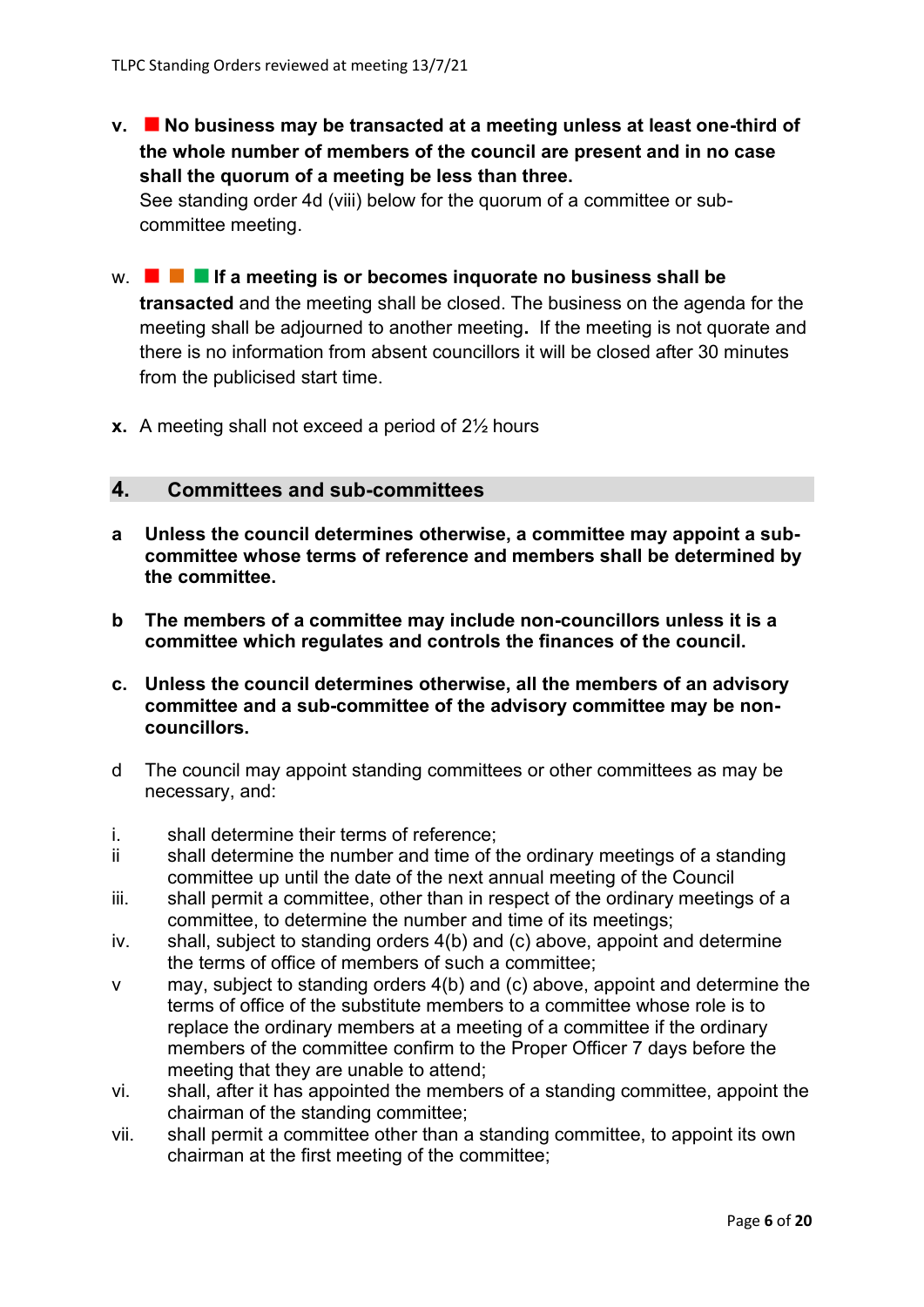**v. No business may be transacted at a meeting unless at least one-third of the whole number of members of the council are present and in no case shall the quorum of a meeting be less than three.**

See standing order 4d (viii) below for the quorum of a committee or subcommittee meeting.

- w. **If a meeting is or becomes inquorate no business shall be transacted** and the meeting shall be closed. The business on the agenda for the meeting shall be adjourned to another meeting**.** If the meeting is not quorate and there is no information from absent councillors it will be closed after 30 minutes from the publicised start time.
- **x.** A meeting shall not exceed a period of 2½ hours

# **4. Committees and sub-committees**

- **a Unless the council determines otherwise, a committee may appoint a subcommittee whose terms of reference and members shall be determined by the committee.**
- **b The members of a committee may include non-councillors unless it is a committee which regulates and controls the finances of the council.**
- **c. Unless the council determines otherwise, all the members of an advisory committee and a sub-committee of the advisory committee may be noncouncillors.**
- d The council may appoint standing committees or other committees as may be necessary, and:
- i. shall determine their terms of reference;
- ii shall determine the number and time of the ordinary meetings of a standing committee up until the date of the next annual meeting of the Council
- iii. shall permit a committee, other than in respect of the ordinary meetings of a committee, to determine the number and time of its meetings;
- $iv.$  shall, subject to standing orders  $4(b)$  and (c) above, appoint and determine the terms of office of members of such a committee;
- v may, subject to standing orders 4(b) and (c) above, appoint and determine the terms of office of the substitute members to a committee whose role is to replace the ordinary members at a meeting of a committee if the ordinary members of the committee confirm to the Proper Officer 7 days before the meeting that they are unable to attend;
- vi. shall, after it has appointed the members of a standing committee, appoint the chairman of the standing committee;
- vii. shall permit a committee other than a standing committee, to appoint its own chairman at the first meeting of the committee;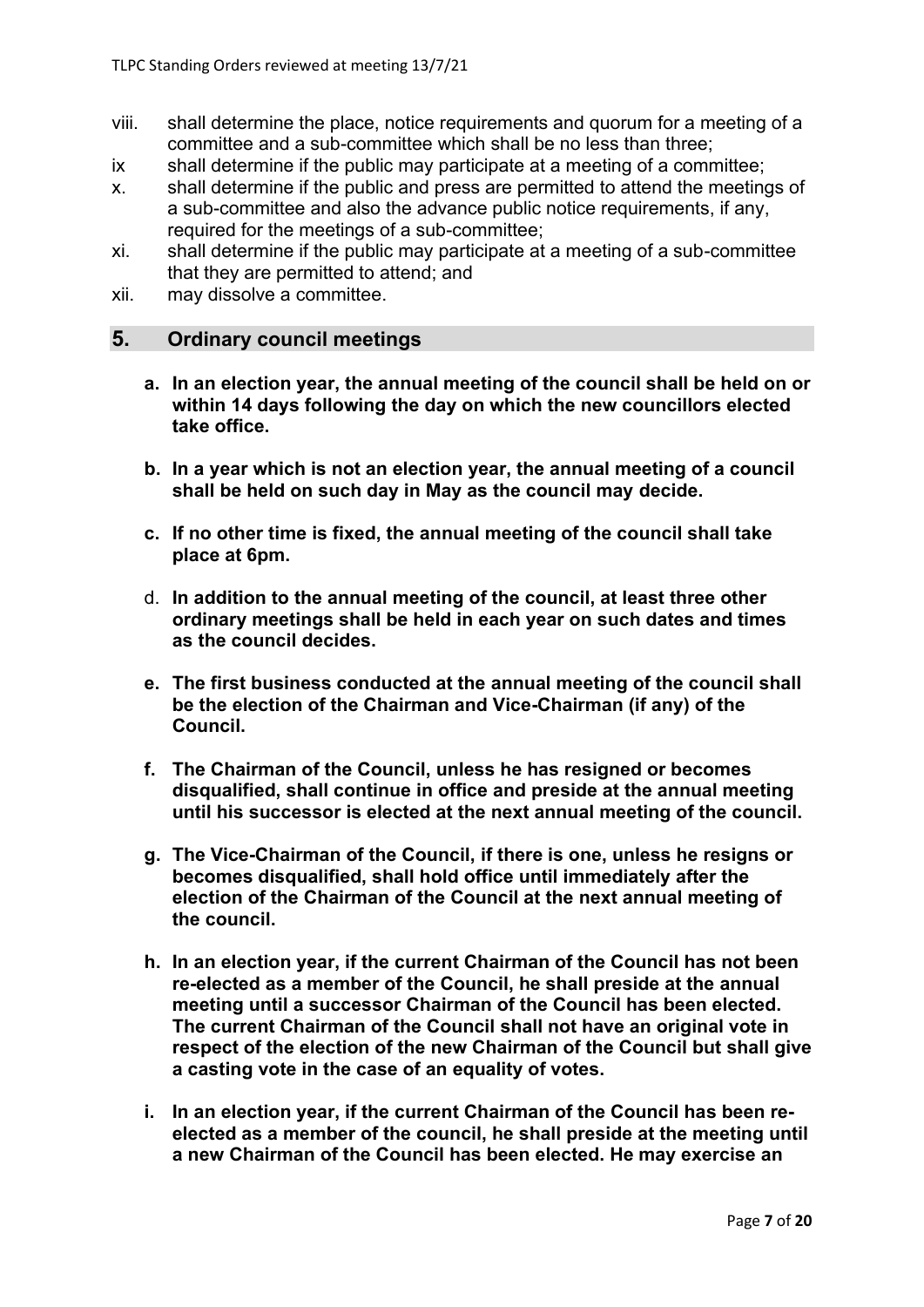- viii. shall determine the place, notice requirements and quorum for a meeting of a committee and a sub-committee which shall be no less than three;
- ix shall determine if the public may participate at a meeting of a committee;
- x. shall determine if the public and press are permitted to attend the meetings of a sub-committee and also the advance public notice requirements, if any, required for the meetings of a sub-committee;
- xi. shall determine if the public may participate at a meeting of a sub-committee that they are permitted to attend; and
- xii. may dissolve a committee.

## **5. Ordinary council meetings**

- **a. In an election year, the annual meeting of the council shall be held on or within 14 days following the day on which the new councillors elected take office.**
- **b. In a year which is not an election year, the annual meeting of a council shall be held on such day in May as the council may decide.**
- **c. If no other time is fixed, the annual meeting of the council shall take place at 6pm.**
- d. **In addition to the annual meeting of the council, at least three other ordinary meetings shall be held in each year on such dates and times as the council decides.**
- **e. The first business conducted at the annual meeting of the council shall be the election of the Chairman and Vice-Chairman (if any) of the Council.**
- **f. The Chairman of the Council, unless he has resigned or becomes disqualified, shall continue in office and preside at the annual meeting until his successor is elected at the next annual meeting of the council.**
- **g. The Vice-Chairman of the Council, if there is one, unless he resigns or becomes disqualified, shall hold office until immediately after the election of the Chairman of the Council at the next annual meeting of the council.**
- **h. In an election year, if the current Chairman of the Council has not been re-elected as a member of the Council, he shall preside at the annual meeting until a successor Chairman of the Council has been elected. The current Chairman of the Council shall not have an original vote in respect of the election of the new Chairman of the Council but shall give a casting vote in the case of an equality of votes.**
- **i. In an election year, if the current Chairman of the Council has been reelected as a member of the council, he shall preside at the meeting until a new Chairman of the Council has been elected. He may exercise an**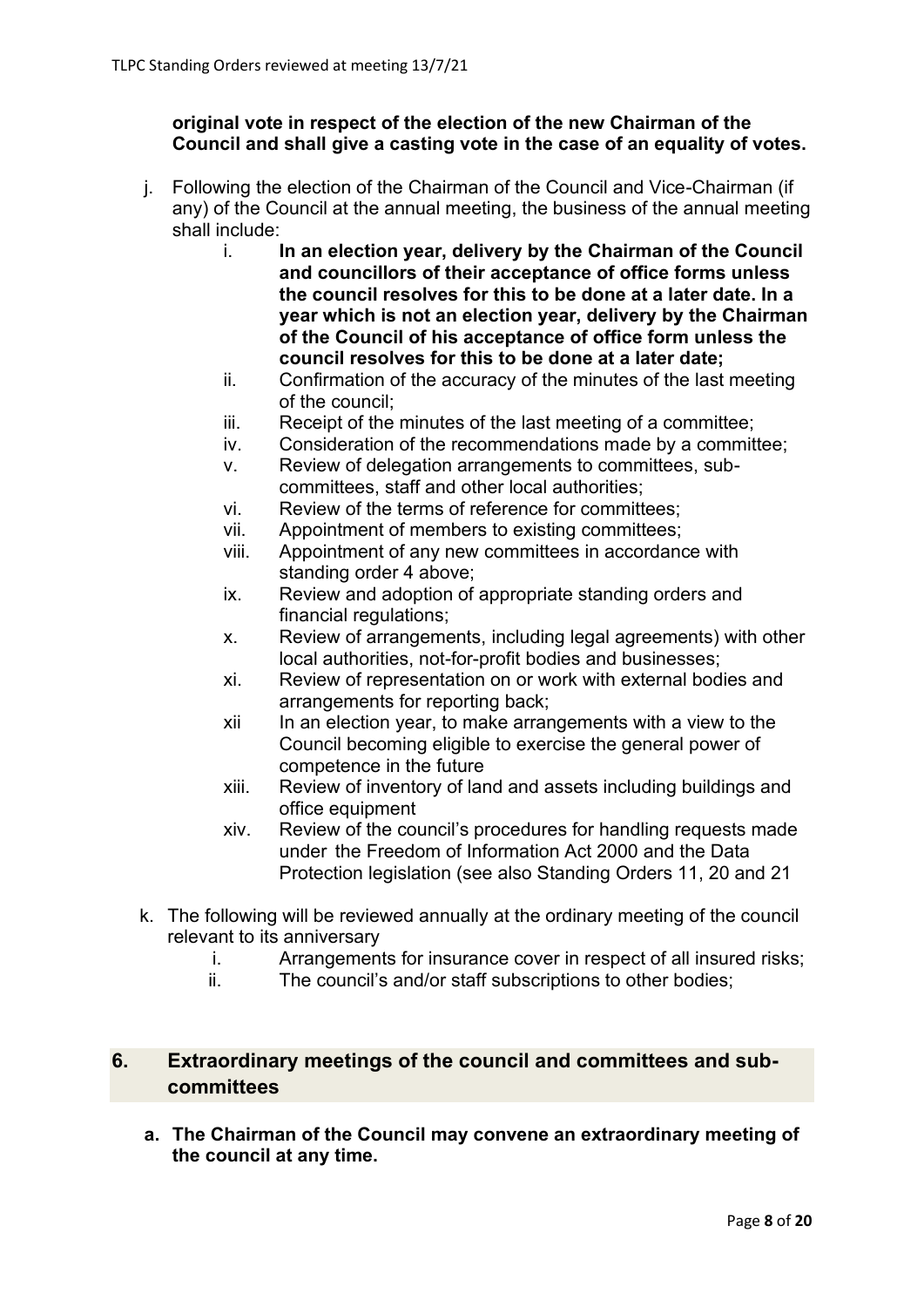## **original vote in respect of the election of the new Chairman of the Council and shall give a casting vote in the case of an equality of votes.**

- j. Following the election of the Chairman of the Council and Vice-Chairman (if any) of the Council at the annual meeting, the business of the annual meeting shall include:
	- i. **In an election year, delivery by the Chairman of the Council and councillors of their acceptance of office forms unless the council resolves for this to be done at a later date. In a year which is not an election year, delivery by the Chairman of the Council of his acceptance of office form unless the council resolves for this to be done at a later date;**
	- ii. Confirmation of the accuracy of the minutes of the last meeting of the council;
	- iii. Receipt of the minutes of the last meeting of a committee;
	- iv. Consideration of the recommendations made by a committee;
	- v. Review of delegation arrangements to committees, subcommittees, staff and other local authorities;
	- vi. Review of the terms of reference for committees;
	- vii. Appointment of members to existing committees;
	- viii. Appointment of any new committees in accordance with standing order 4 above;
	- ix. Review and adoption of appropriate standing orders and financial regulations;
	- x. Review of arrangements, including legal agreements) with other local authorities, not-for-profit bodies and businesses;
	- xi. Review of representation on or work with external bodies and arrangements for reporting back;
	- xii In an election year, to make arrangements with a view to the Council becoming eligible to exercise the general power of competence in the future
	- xiii. Review of inventory of land and assets including buildings and office equipment
	- xiv. Review of the council's procedures for handling requests made under the Freedom of Information Act 2000 and the Data Protection legislation (see also Standing Orders 11, 20 and 21
- k. The following will be reviewed annually at the ordinary meeting of the council relevant to its anniversary
	- i. Arrangements for insurance cover in respect of all insured risks;
	- ii. The council's and/or staff subscriptions to other bodies;

# **6. Extraordinary meetings of the council and committees and subcommittees**

**a. The Chairman of the Council may convene an extraordinary meeting of the council at any time.**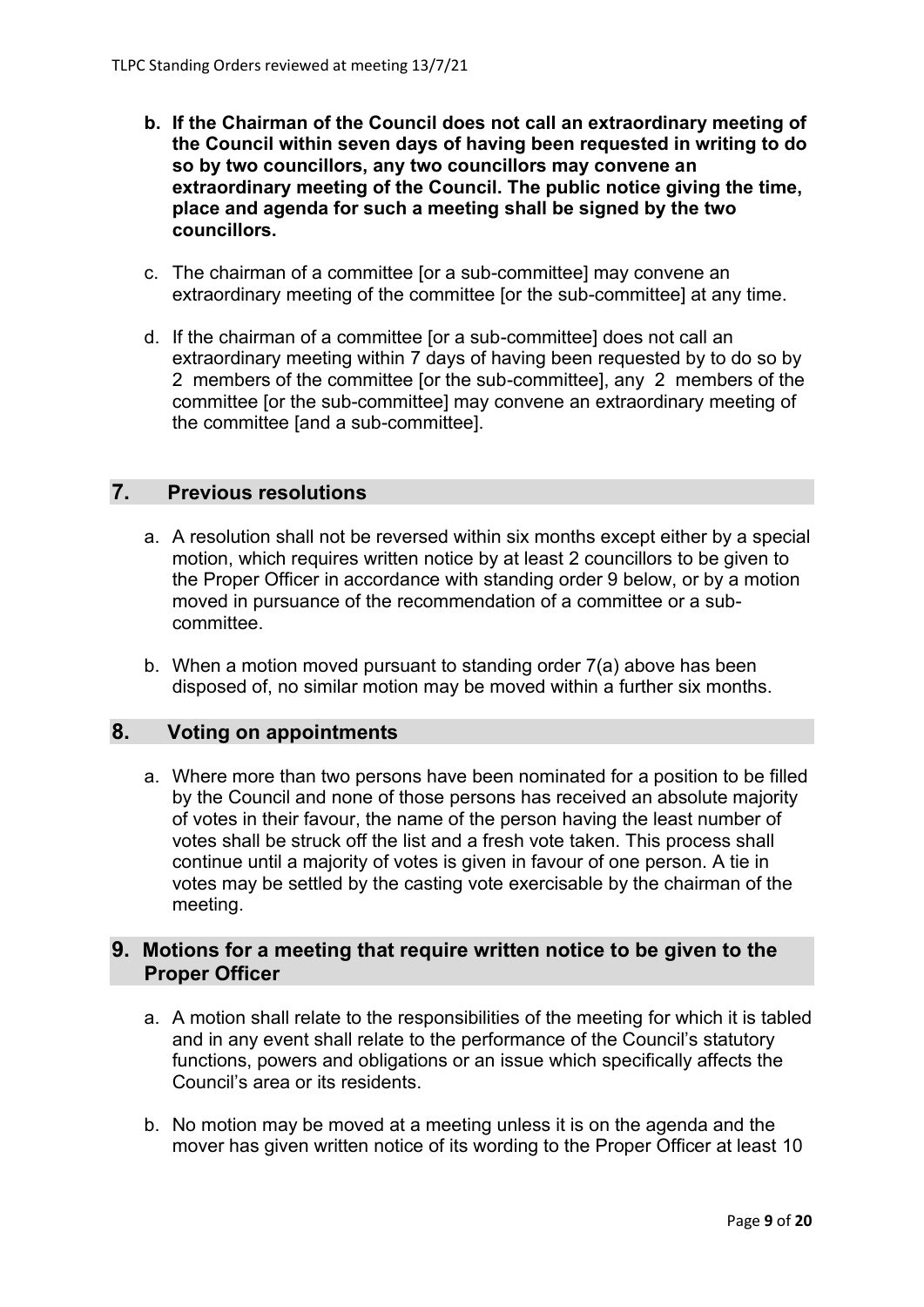- **b. If the Chairman of the Council does not call an extraordinary meeting of the Council within seven days of having been requested in writing to do so by two councillors, any two councillors may convene an extraordinary meeting of the Council. The public notice giving the time, place and agenda for such a meeting shall be signed by the two councillors.**
- c. The chairman of a committee [or a sub-committee] may convene an extraordinary meeting of the committee [or the sub-committee] at any time.
- d. If the chairman of a committee [or a sub-committee] does not call an extraordinary meeting within 7 days of having been requested by to do so by 2 members of the committee [or the sub-committee], any 2 members of the committee [or the sub-committee] may convene an extraordinary meeting of the committee [and a sub-committee].

### **7. Previous resolutions**

- a. A resolution shall not be reversed within six months except either by a special motion, which requires written notice by at least 2 councillors to be given to the Proper Officer in accordance with standing order 9 below, or by a motion moved in pursuance of the recommendation of a committee or a subcommittee.
- b. When a motion moved pursuant to standing order 7(a) above has been disposed of, no similar motion may be moved within a further six months.

# **8. Voting on appointments**

a. Where more than two persons have been nominated for a position to be filled by the Council and none of those persons has received an absolute majority of votes in their favour, the name of the person having the least number of votes shall be struck off the list and a fresh vote taken. This process shall continue until a majority of votes is given in favour of one person. A tie in votes may be settled by the casting vote exercisable by the chairman of the meeting.

# **9. Motions for a meeting that require written notice to be given to the Proper Officer**

- a. A motion shall relate to the responsibilities of the meeting for which it is tabled and in any event shall relate to the performance of the Council's statutory functions, powers and obligations or an issue which specifically affects the Council's area or its residents.
- b. No motion may be moved at a meeting unless it is on the agenda and the mover has given written notice of its wording to the Proper Officer at least 10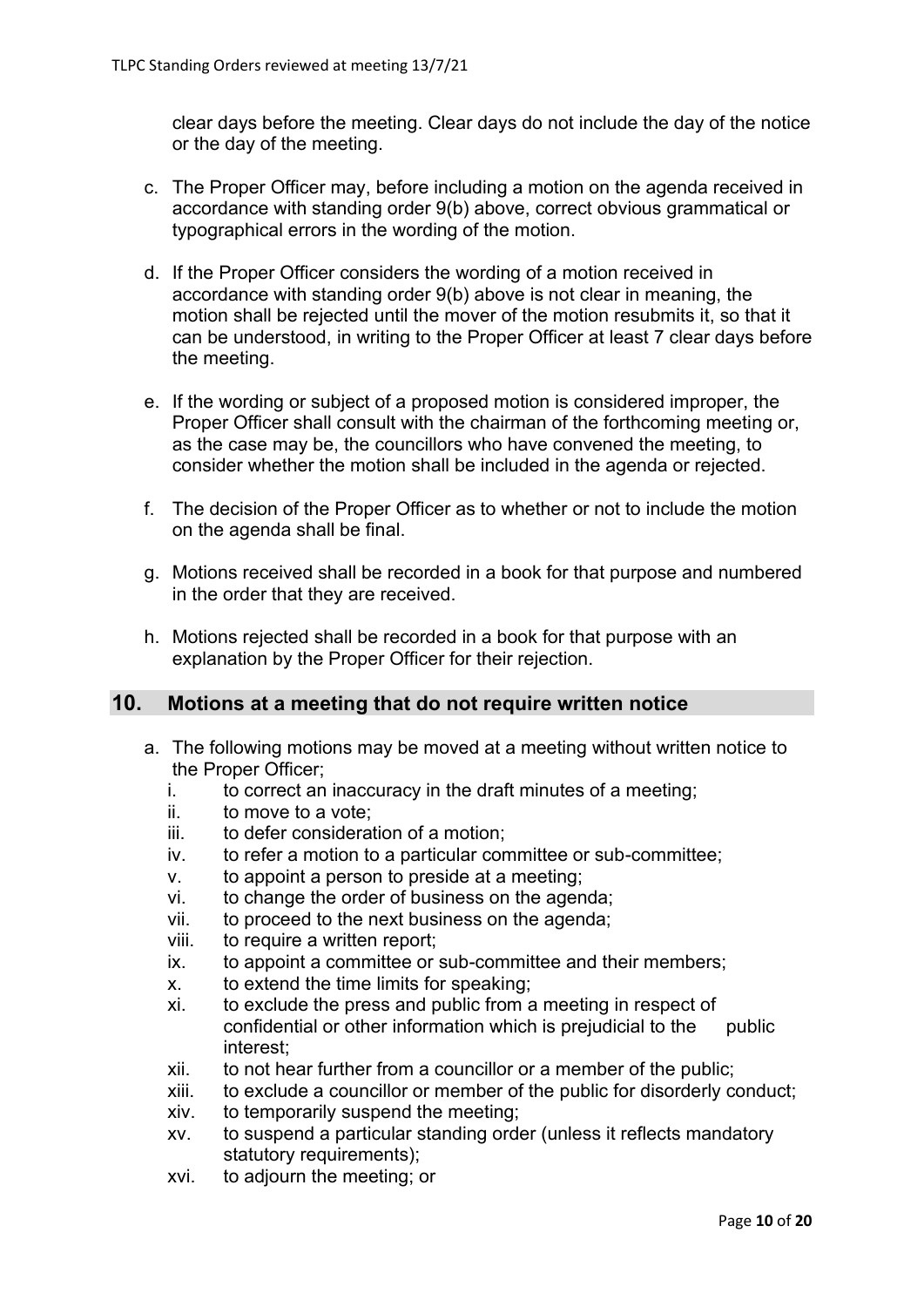clear days before the meeting. Clear days do not include the day of the notice or the day of the meeting.

- c. The Proper Officer may, before including a motion on the agenda received in accordance with standing order 9(b) above, correct obvious grammatical or typographical errors in the wording of the motion.
- d. If the Proper Officer considers the wording of a motion received in accordance with standing order 9(b) above is not clear in meaning, the motion shall be rejected until the mover of the motion resubmits it, so that it can be understood, in writing to the Proper Officer at least 7 clear days before the meeting.
- e. If the wording or subject of a proposed motion is considered improper, the Proper Officer shall consult with the chairman of the forthcoming meeting or, as the case may be, the councillors who have convened the meeting, to consider whether the motion shall be included in the agenda or rejected.
- f. The decision of the Proper Officer as to whether or not to include the motion on the agenda shall be final.
- g. Motions received shall be recorded in a book for that purpose and numbered in the order that they are received.
- h. Motions rejected shall be recorded in a book for that purpose with an explanation by the Proper Officer for their rejection.

### **10. Motions at a meeting that do not require written notice**

- a. The following motions may be moved at a meeting without written notice to the Proper Officer;
	- i. to correct an inaccuracy in the draft minutes of a meeting;
	- ii. to move to a vote;
	- iii. to defer consideration of a motion;
	- iv. to refer a motion to a particular committee or sub-committee;
	- v. to appoint a person to preside at a meeting;
	- vi. to change the order of business on the agenda;
	- vii. to proceed to the next business on the agenda;
	- viii. to require a written report;
	- ix. to appoint a committee or sub-committee and their members;
	- x. to extend the time limits for speaking;
	- xi. to exclude the press and public from a meeting in respect of confidential or other information which is prejudicial to the public interest;
	- xii. to not hear further from a councillor or a member of the public;
	- xiii. to exclude a councillor or member of the public for disorderly conduct;
	- xiv. to temporarily suspend the meeting;
	- xv. to suspend a particular standing order (unless it reflects mandatory statutory requirements);
	- xvi. to adjourn the meeting; or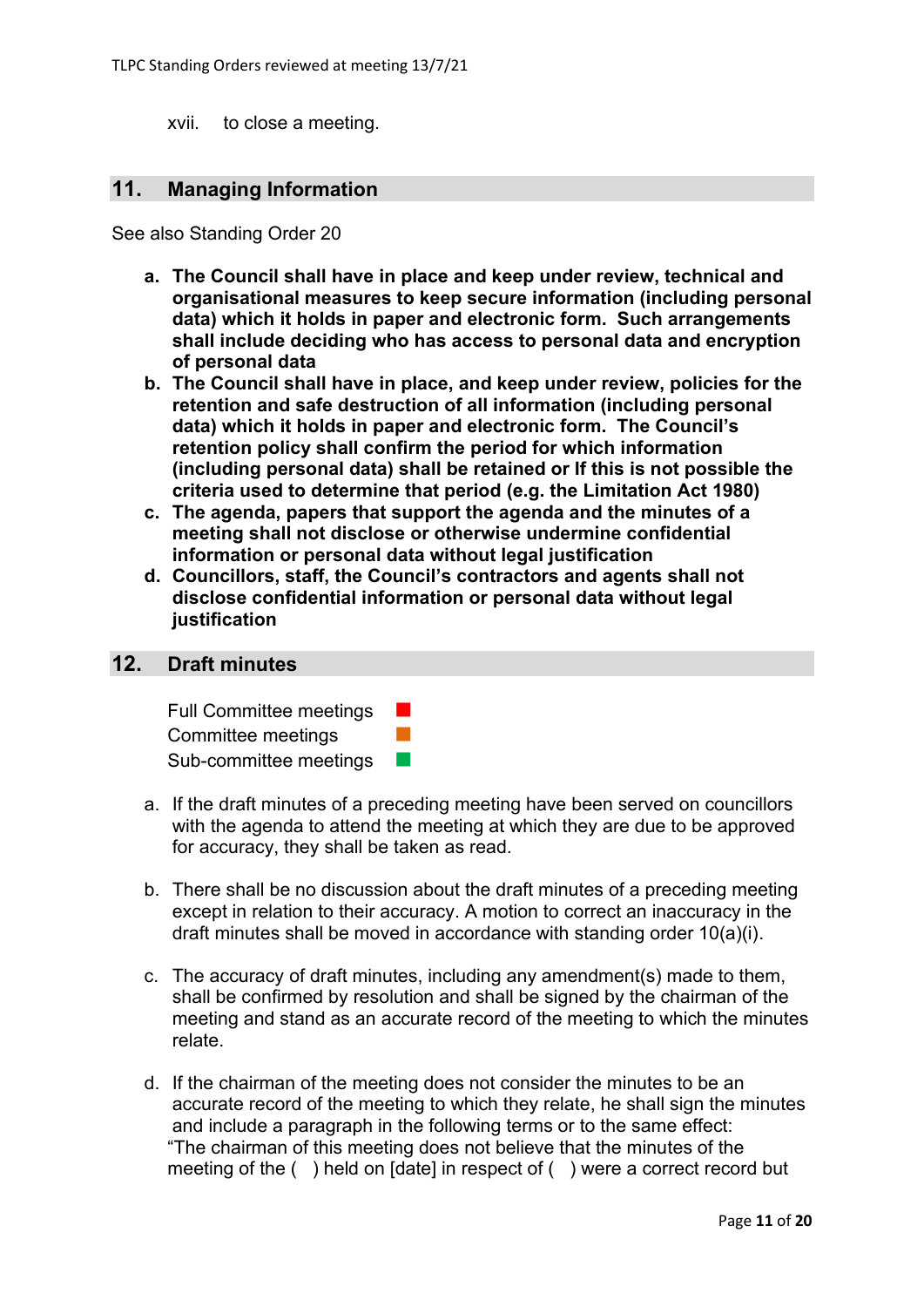xvii. to close a meeting.

#### **11. Managing Information**

See also Standing Order 20

- **a. The Council shall have in place and keep under review, technical and organisational measures to keep secure information (including personal data) which it holds in paper and electronic form. Such arrangements shall include deciding who has access to personal data and encryption of personal data**
- **b. The Council shall have in place, and keep under review, policies for the retention and safe destruction of all information (including personal data) which it holds in paper and electronic form. The Council's retention policy shall confirm the period for which information (including personal data) shall be retained or If this is not possible the criteria used to determine that period (e.g. the Limitation Act 1980)**
- **c. The agenda, papers that support the agenda and the minutes of a meeting shall not disclose or otherwise undermine confidential information or personal data without legal justification**
- **d. Councillors, staff, the Council's contractors and agents shall not disclose confidential information or personal data without legal justification**

#### **12. Draft minutes**

| <b>Full Committee meetings</b> |  |
|--------------------------------|--|
| Committee meetings             |  |
| Sub-committee meetings         |  |

- a. If the draft minutes of a preceding meeting have been served on councillors with the agenda to attend the meeting at which they are due to be approved for accuracy, they shall be taken as read.
- b. There shall be no discussion about the draft minutes of a preceding meeting except in relation to their accuracy. A motion to correct an inaccuracy in the draft minutes shall be moved in accordance with standing order 10(a)(i).
- c. The accuracy of draft minutes, including any amendment(s) made to them, shall be confirmed by resolution and shall be signed by the chairman of the meeting and stand as an accurate record of the meeting to which the minutes relate.
- d. If the chairman of the meeting does not consider the minutes to be an accurate record of the meeting to which they relate, he shall sign the minutes and include a paragraph in the following terms or to the same effect: "The chairman of this meeting does not believe that the minutes of the meeting of the ( ) held on [date] in respect of ( ) were a correct record but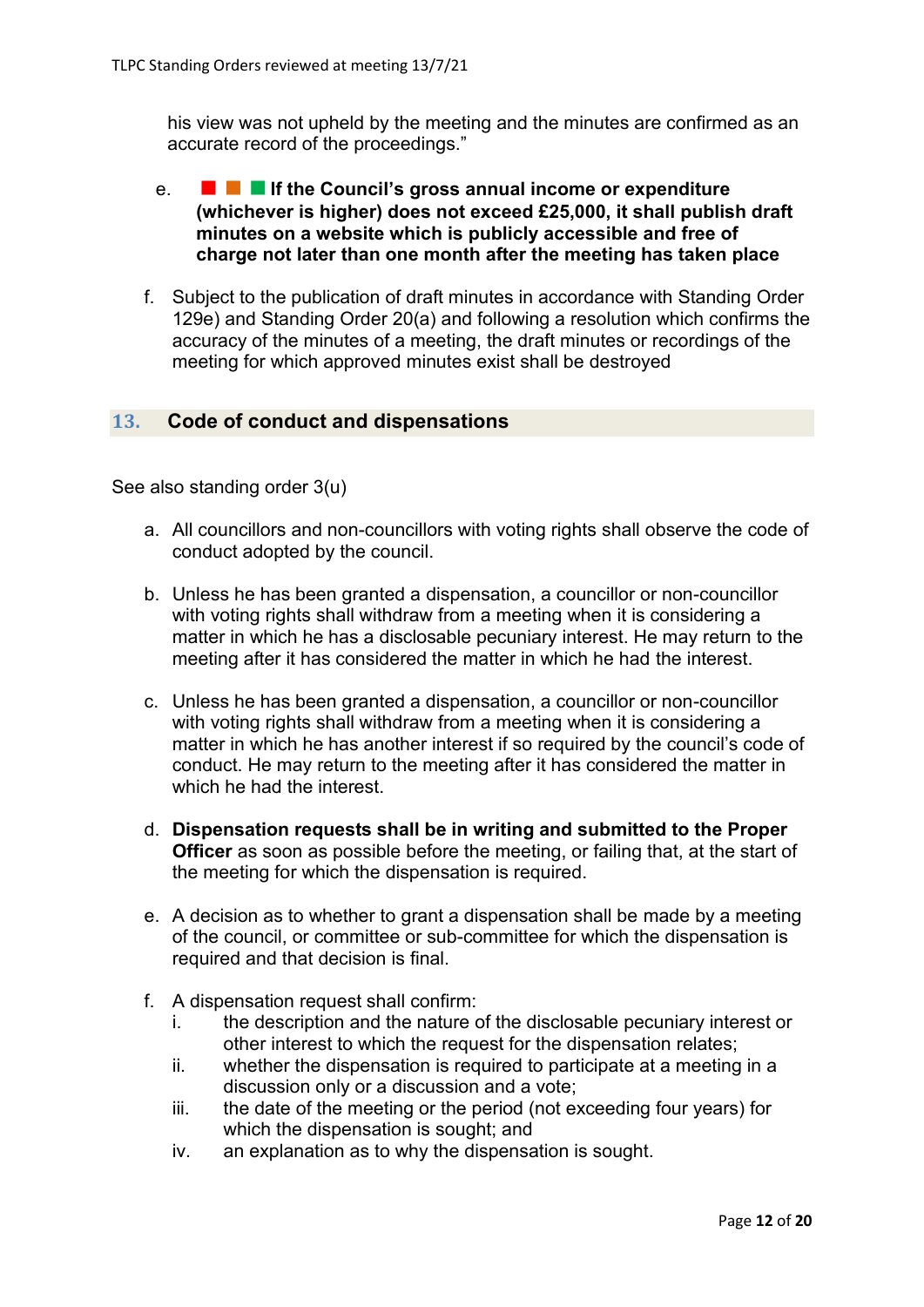his view was not upheld by the meeting and the minutes are confirmed as an accurate record of the proceedings."

- e. **If the Council's gross annual income or expenditure (whichever is higher) does not exceed £25,000, it shall publish draft minutes on a website which is publicly accessible and free of charge not later than one month after the meeting has taken place**
- f. Subject to the publication of draft minutes in accordance with Standing Order 129e) and Standing Order 20(a) and following a resolution which confirms the accuracy of the minutes of a meeting, the draft minutes or recordings of the meeting for which approved minutes exist shall be destroyed

# **13. Code of conduct and dispensations**

See also standing order 3(u)

- a. All councillors and non-councillors with voting rights shall observe the code of conduct adopted by the council.
- b. Unless he has been granted a dispensation, a councillor or non-councillor with voting rights shall withdraw from a meeting when it is considering a matter in which he has a disclosable pecuniary interest. He may return to the meeting after it has considered the matter in which he had the interest.
- c. Unless he has been granted a dispensation, a councillor or non-councillor with voting rights shall withdraw from a meeting when it is considering a matter in which he has another interest if so required by the council's code of conduct. He may return to the meeting after it has considered the matter in which he had the interest.
- d. **Dispensation requests shall be in writing and submitted to the Proper Officer** as soon as possible before the meeting, or failing that, at the start of the meeting for which the dispensation is required.
- e. A decision as to whether to grant a dispensation shall be made by a meeting of the council, or committee or sub-committee for which the dispensation is required and that decision is final.
- f. A dispensation request shall confirm:
	- i. the description and the nature of the disclosable pecuniary interest or other interest to which the request for the dispensation relates;
	- ii. whether the dispensation is required to participate at a meeting in a discussion only or a discussion and a vote;
	- iii. the date of the meeting or the period (not exceeding four years) for which the dispensation is sought; and
	- iv. an explanation as to why the dispensation is sought.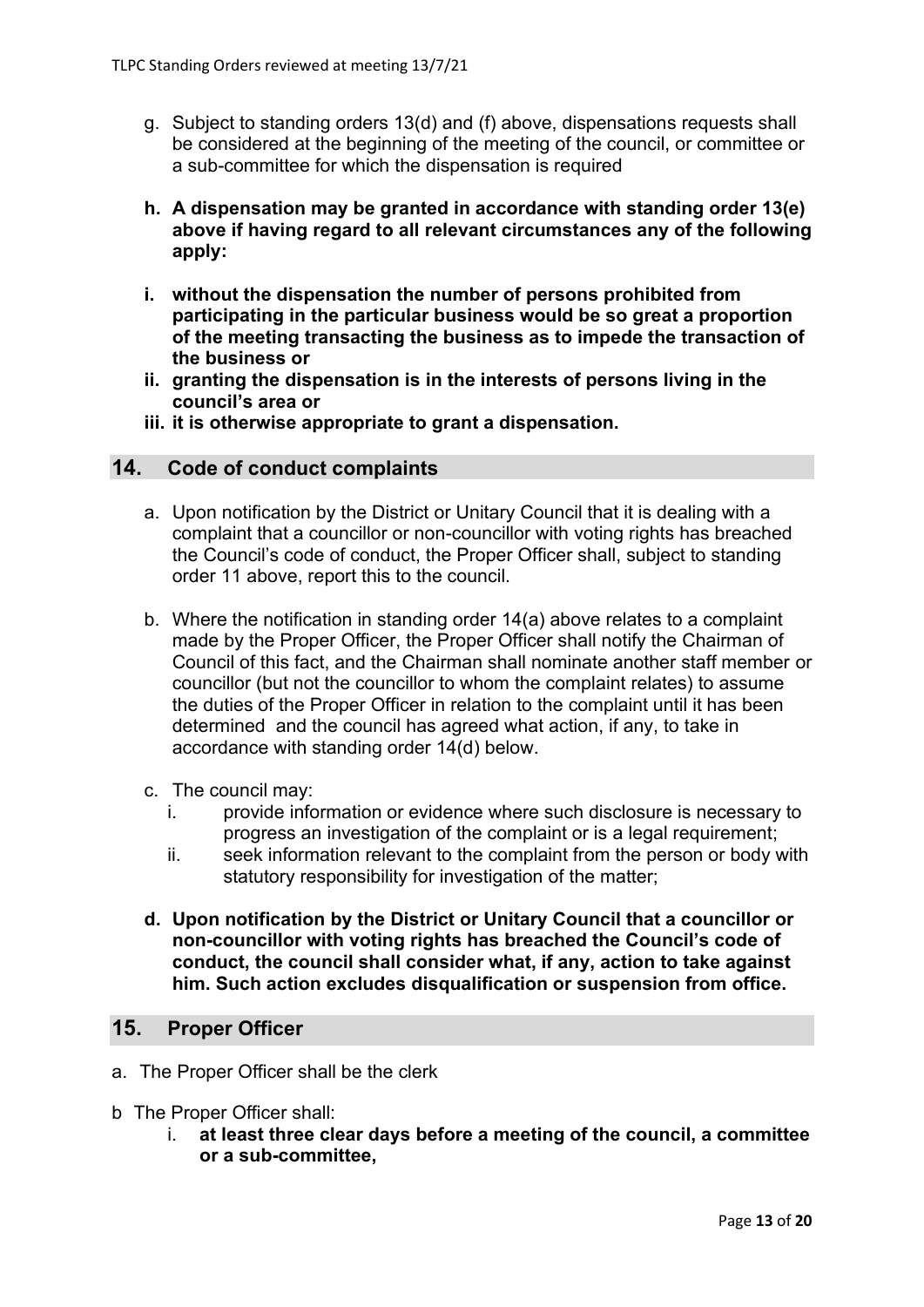- g. Subject to standing orders 13(d) and (f) above, dispensations requests shall be considered at the beginning of the meeting of the council, or committee or a sub-committee for which the dispensation is required
- **h. A dispensation may be granted in accordance with standing order 13(e) above if having regard to all relevant circumstances any of the following apply:**
- **i. without the dispensation the number of persons prohibited from participating in the particular business would be so great a proportion of the meeting transacting the business as to impede the transaction of the business or**
- **ii. granting the dispensation is in the interests of persons living in the council's area or**
- **iii. it is otherwise appropriate to grant a dispensation.**

#### **14. Code of conduct complaints**

- a. Upon notification by the District or Unitary Council that it is dealing with a complaint that a councillor or non-councillor with voting rights has breached the Council's code of conduct, the Proper Officer shall, subject to standing order 11 above, report this to the council.
- b. Where the notification in standing order 14(a) above relates to a complaint made by the Proper Officer, the Proper Officer shall notify the Chairman of Council of this fact, and the Chairman shall nominate another staff member or councillor (but not the councillor to whom the complaint relates) to assume the duties of the Proper Officer in relation to the complaint until it has been determined and the council has agreed what action, if any, to take in accordance with standing order 14(d) below.
- c. The council may:
	- i. provide information or evidence where such disclosure is necessary to progress an investigation of the complaint or is a legal requirement;
	- ii. seek information relevant to the complaint from the person or body with statutory responsibility for investigation of the matter;
- **d. Upon notification by the District or Unitary Council that a councillor or non-councillor with voting rights has breached the Council's code of conduct, the council shall consider what, if any, action to take against him. Such action excludes disqualification or suspension from office.**

# **15. Proper Officer**

- a. The Proper Officer shall be the clerk
- b The Proper Officer shall:
	- i. **at least three clear days before a meeting of the council, a committee or a sub-committee,**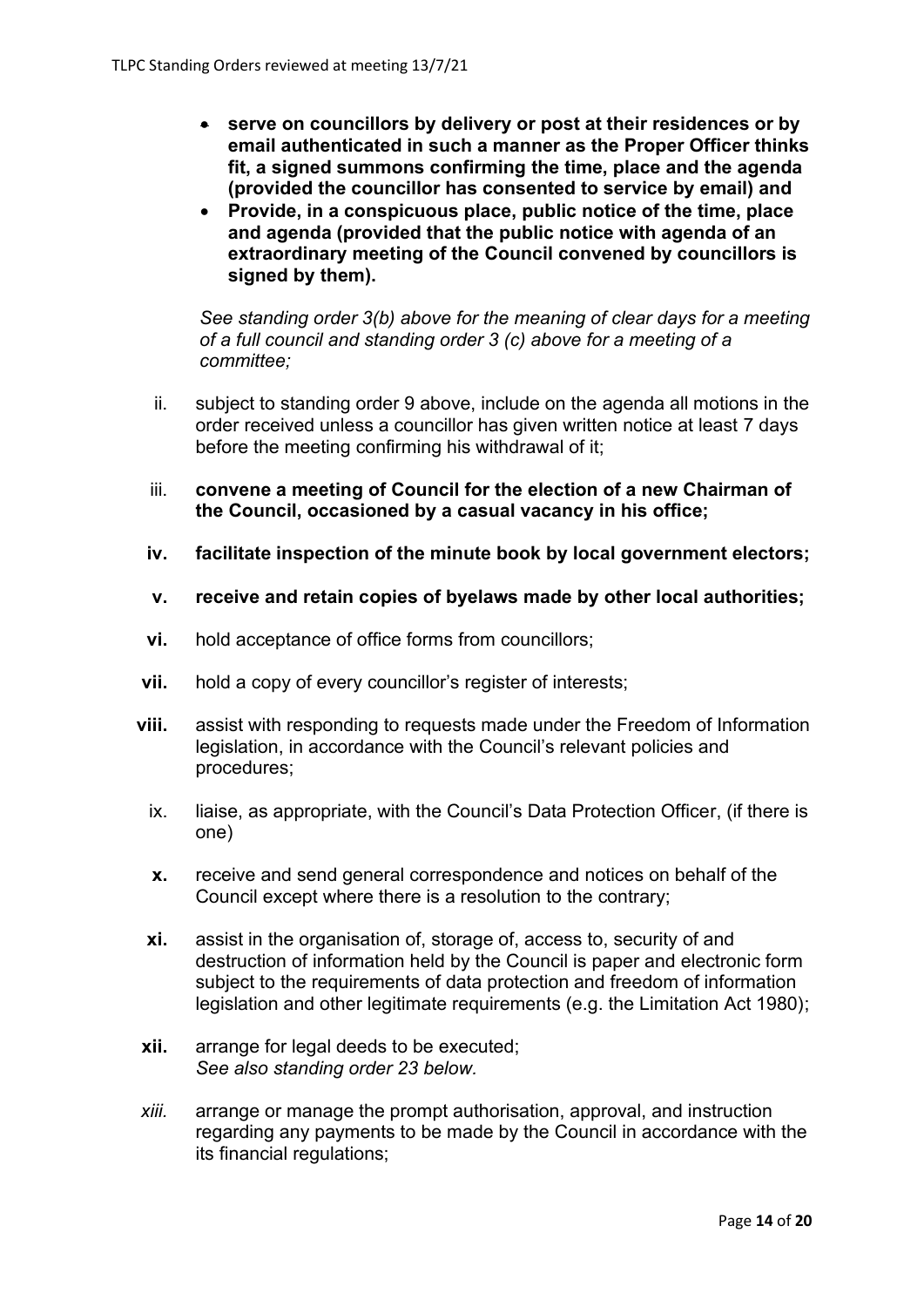- **serve on councillors by delivery or post at their residences or by email authenticated in such a manner as the Proper Officer thinks fit, a signed summons confirming the time, place and the agenda (provided the councillor has consented to service by email) and**
- **Provide, in a conspicuous place, public notice of the time, place and agenda (provided that the public notice with agenda of an extraordinary meeting of the Council convened by councillors is signed by them).**

*See standing order 3(b) above for the meaning of clear days for a meeting of a full council and standing order 3 (c) above for a meeting of a committee;*

- ii. subject to standing order 9 above, include on the agenda all motions in the order received unless a councillor has given written notice at least 7 days before the meeting confirming his withdrawal of it;
- iii. **convene a meeting of Council for the election of a new Chairman of the Council, occasioned by a casual vacancy in his office;**
- **iv. facilitate inspection of the minute book by local government electors;**
- **v. receive and retain copies of byelaws made by other local authorities;**
- **vi.** hold acceptance of office forms from councillors;
- **vii.** hold a copy of every councillor's register of interests;
- **viii.** assist with responding to requests made under the Freedom of Information legislation, in accordance with the Council's relevant policies and procedures;
	- ix. liaise, as appropriate, with the Council's Data Protection Officer, (if there is one)
	- **x.** receive and send general correspondence and notices on behalf of the Council except where there is a resolution to the contrary;
	- **xi.** assist in the organisation of, storage of, access to, security of and destruction of information held by the Council is paper and electronic form subject to the requirements of data protection and freedom of information legislation and other legitimate requirements (e.g. the Limitation Act 1980);
- **xii.** arrange for legal deeds to be executed; *See also standing order 23 below.*
- *xiii.* arrange or manage the prompt authorisation, approval, and instruction regarding any payments to be made by the Council in accordance with the its financial regulations;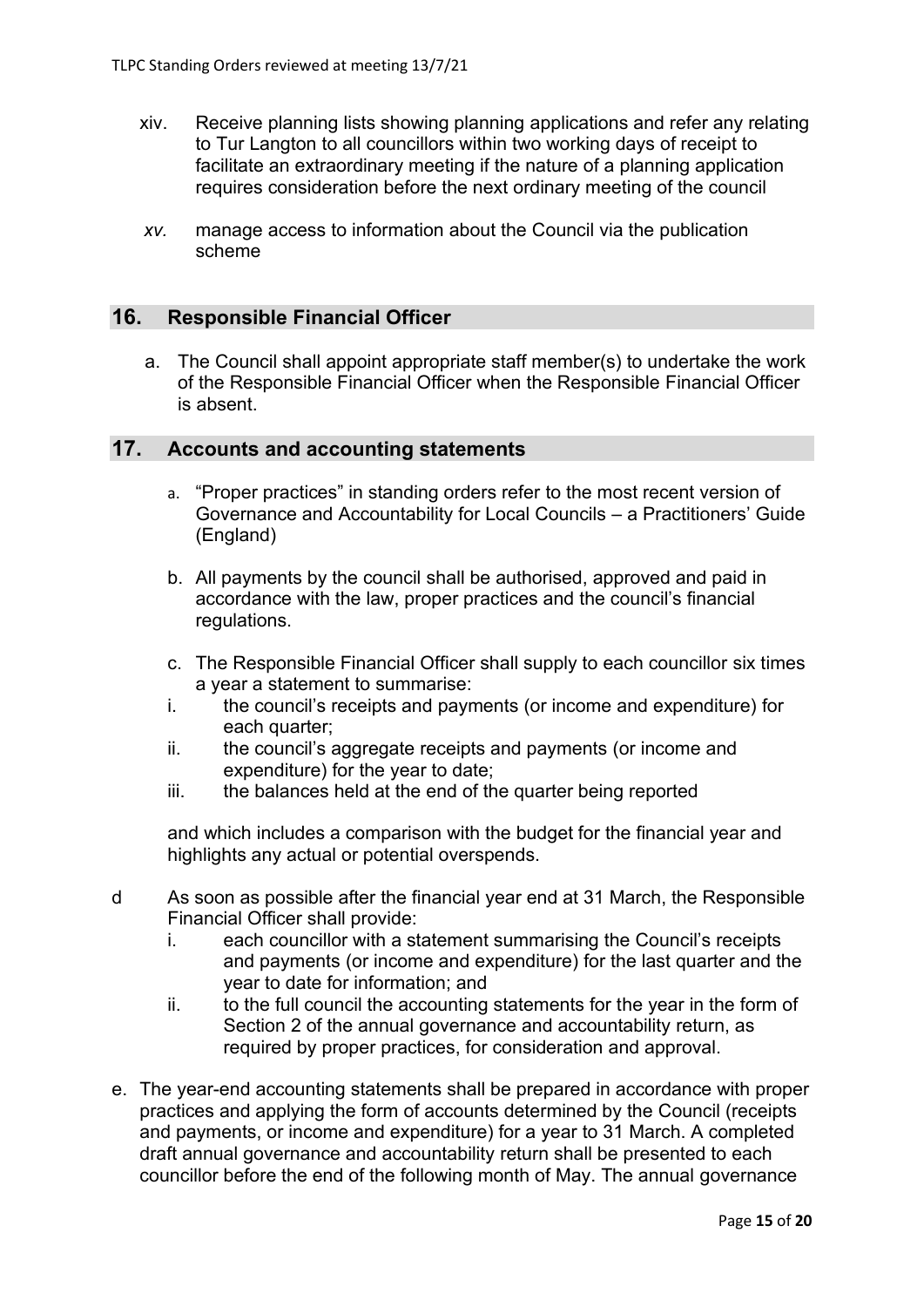- xiv. Receive planning lists showing planning applications and refer any relating to Tur Langton to all councillors within two working days of receipt to facilitate an extraordinary meeting if the nature of a planning application requires consideration before the next ordinary meeting of the council
- *xv.* manage access to information about the Council via the publication scheme

#### **16. Responsible Financial Officer**

a. The Council shall appoint appropriate staff member(s) to undertake the work of the Responsible Financial Officer when the Responsible Financial Officer is absent.

#### **17. Accounts and accounting statements**

- a. "Proper practices" in standing orders refer to the most recent version of Governance and Accountability for Local Councils – a Practitioners' Guide (England)
- b. All payments by the council shall be authorised, approved and paid in accordance with the law, proper practices and the council's financial regulations.
- c. The Responsible Financial Officer shall supply to each councillor six times a year a statement to summarise:
- i. the council's receipts and payments (or income and expenditure) for each quarter:
- ii. the council's aggregate receipts and payments (or income and expenditure) for the year to date;
- iii. the balances held at the end of the quarter being reported

and which includes a comparison with the budget for the financial year and highlights any actual or potential overspends.

- d As soon as possible after the financial year end at 31 March, the Responsible Financial Officer shall provide:
	- i. each councillor with a statement summarising the Council's receipts and payments (or income and expenditure) for the last quarter and the year to date for information; and
	- ii. to the full council the accounting statements for the year in the form of Section 2 of the annual governance and accountability return, as required by proper practices, for consideration and approval.
- e. The year-end accounting statements shall be prepared in accordance with proper practices and applying the form of accounts determined by the Council (receipts and payments, or income and expenditure) for a year to 31 March. A completed draft annual governance and accountability return shall be presented to each councillor before the end of the following month of May. The annual governance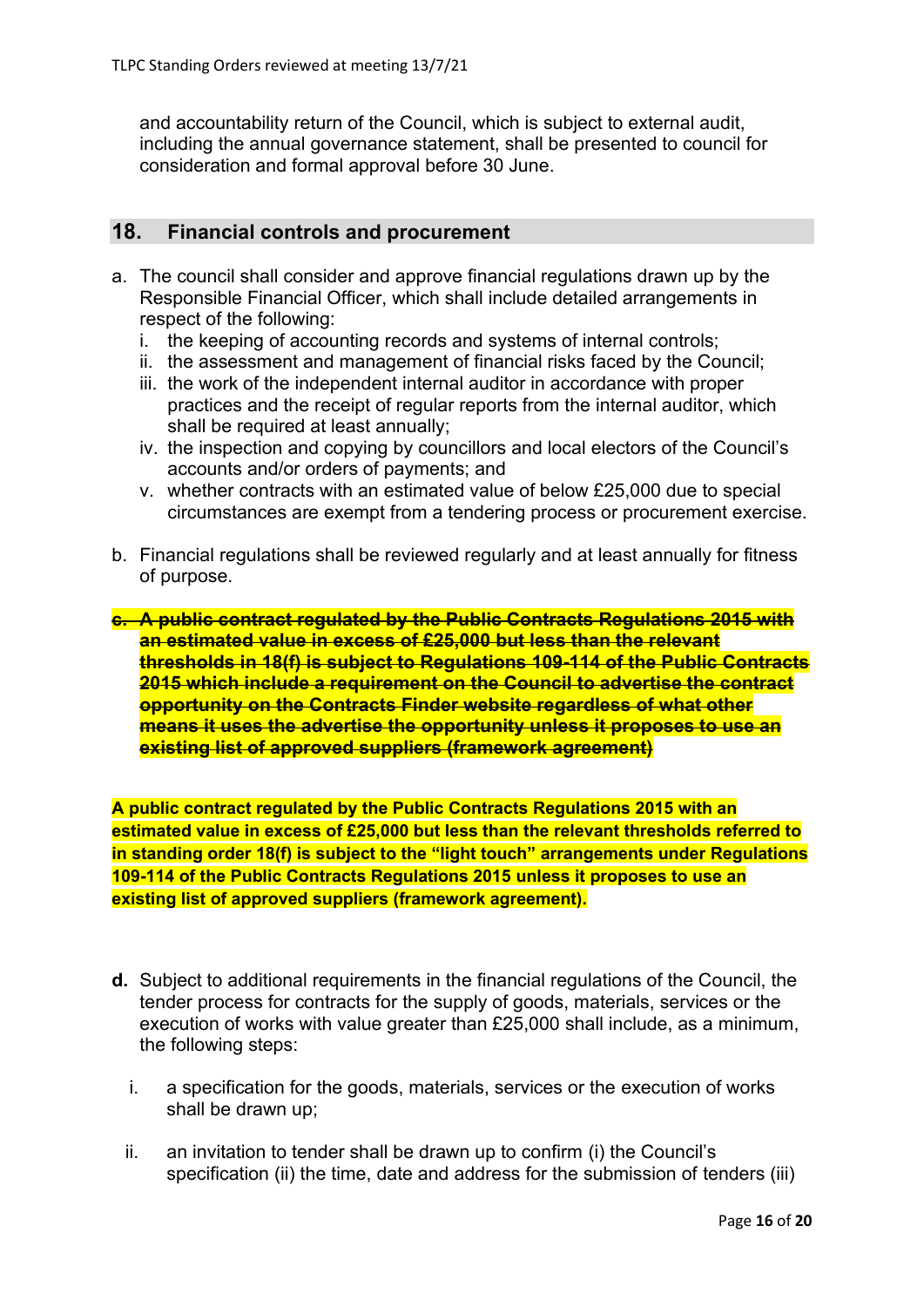and accountability return of the Council, which is subject to external audit, including the annual governance statement, shall be presented to council for consideration and formal approval before 30 June.

# **18. Financial controls and procurement**

- a. The council shall consider and approve financial regulations drawn up by the Responsible Financial Officer, which shall include detailed arrangements in respect of the following:
	- i. the keeping of accounting records and systems of internal controls;
	- ii. the assessment and management of financial risks faced by the Council;
	- iii. the work of the independent internal auditor in accordance with proper practices and the receipt of regular reports from the internal auditor, which shall be required at least annually;
	- iv. the inspection and copying by councillors and local electors of the Council's accounts and/or orders of payments; and
	- v. whether contracts with an estimated value of below £25,000 due to special circumstances are exempt from a tendering process or procurement exercise.
- b. Financial regulations shall be reviewed regularly and at least annually for fitness of purpose.
- **c. A public contract regulated by the Public Contracts Regulations 2015 with an estimated value in excess of £25,000 but less than the relevant thresholds in 18(f) is subject to Regulations 109-114 of the Public Contracts 2015 which include a requirement on the Council to advertise the contract opportunity on the Contracts Finder website regardless of what other means it uses the advertise the opportunity unless it proposes to use an existing list of approved suppliers (framework agreement)**

**A public contract regulated by the Public Contracts Regulations 2015 with an estimated value in excess of £25,000 but less than the relevant thresholds referred to in standing order 18(f) is subject to the "light touch" arrangements under Regulations 109-114 of the Public Contracts Regulations 2015 unless it proposes to use an existing list of approved suppliers (framework agreement).**

- **d.** Subject to additional requirements in the financial regulations of the Council, the tender process for contracts for the supply of goods, materials, services or the execution of works with value greater than £25,000 shall include, as a minimum, the following steps:
	- i. a specification for the goods, materials, services or the execution of works shall be drawn up;
	- ii. an invitation to tender shall be drawn up to confirm (i) the Council's specification (ii) the time, date and address for the submission of tenders (iii)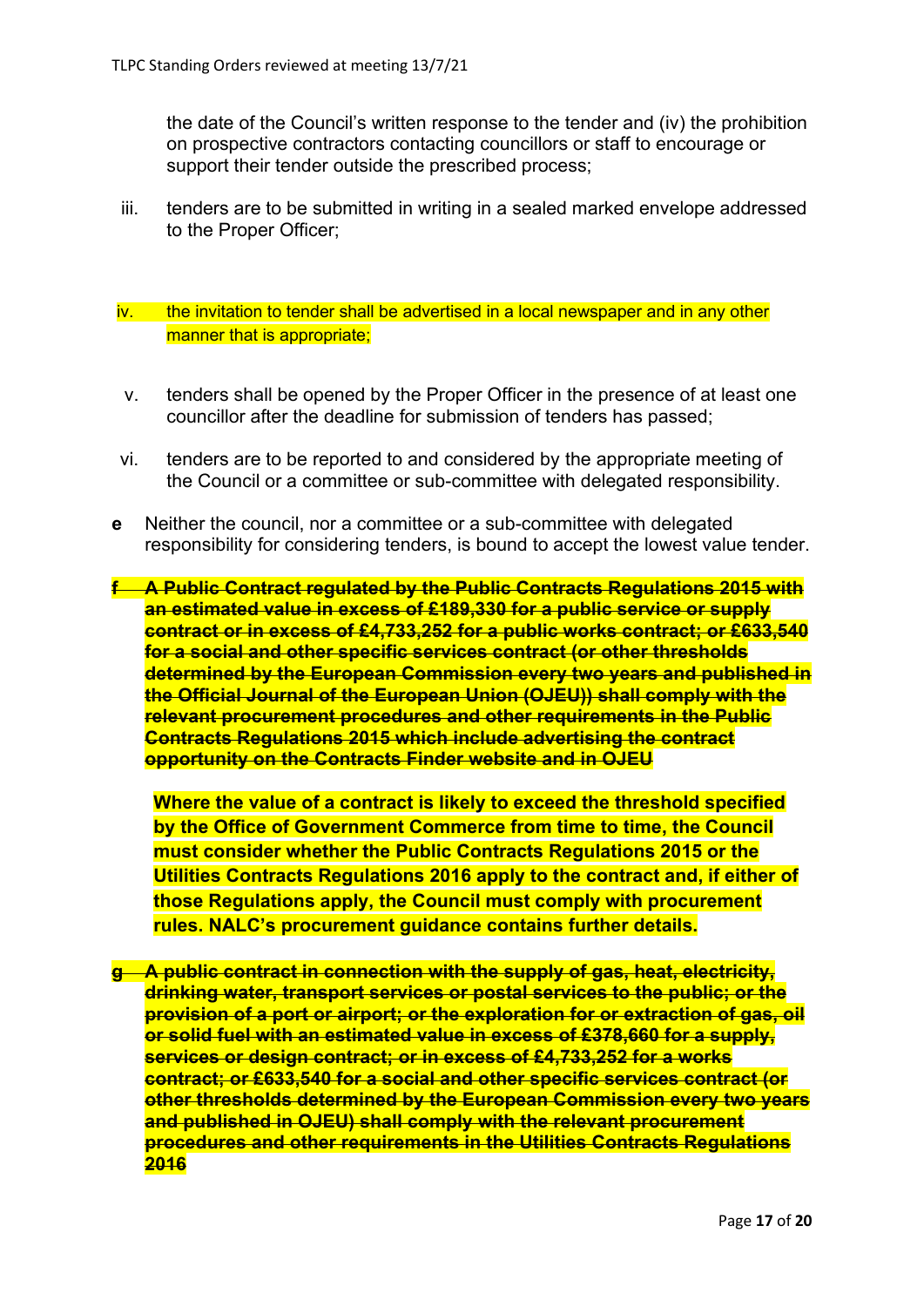the date of the Council's written response to the tender and (iv) the prohibition on prospective contractors contacting councillors or staff to encourage or support their tender outside the prescribed process;

iii. tenders are to be submitted in writing in a sealed marked envelope addressed to the Proper Officer;

#### iv. the invitation to tender shall be advertised in a local newspaper and in any other manner that is appropriate;

- v. tenders shall be opened by the Proper Officer in the presence of at least one councillor after the deadline for submission of tenders has passed;
- vi. tenders are to be reported to and considered by the appropriate meeting of the Council or a committee or sub-committee with delegated responsibility.
- **e** Neither the council, nor a committee or a sub-committee with delegated responsibility for considering tenders, is bound to accept the lowest value tender.

**f A Public Contract regulated by the Public Contracts Regulations 2015 with an estimated value in excess of £189,330 for a public service or supply contract or in excess of £4,733,252 for a public works contract; or £633,540 for a social and other specific services contract (or other thresholds determined by the European Commission every two years and published in the Official Journal of the European Union (OJEU)) shall comply with the relevant procurement procedures and other requirements in the Public Contracts Regulations 2015 which include advertising the contract opportunity on the Contracts Finder website and in OJEU**

**Where the value of a contract is likely to exceed the threshold specified by the Office of Government Commerce from time to time, the Council must consider whether the Public Contracts Regulations 2015 or the Utilities Contracts Regulations 2016 apply to the contract and, if either of those Regulations apply, the Council must comply with procurement rules. NALC's procurement guidance contains further details.**

**g A public contract in connection with the supply of gas, heat, electricity, drinking water, transport services or postal services to the public; or the provision of a port or airport; or the exploration for or extraction of gas, oil or solid fuel with an estimated value in excess of £378,660 for a supply, services or design contract; or in excess of £4,733,252 for a works contract; or £633,540 for a social and other specific services contract (or other thresholds determined by the European Commission every two years and published in OJEU) shall comply with the relevant procurement procedures and other requirements in the Utilities Contracts Regulations 2016**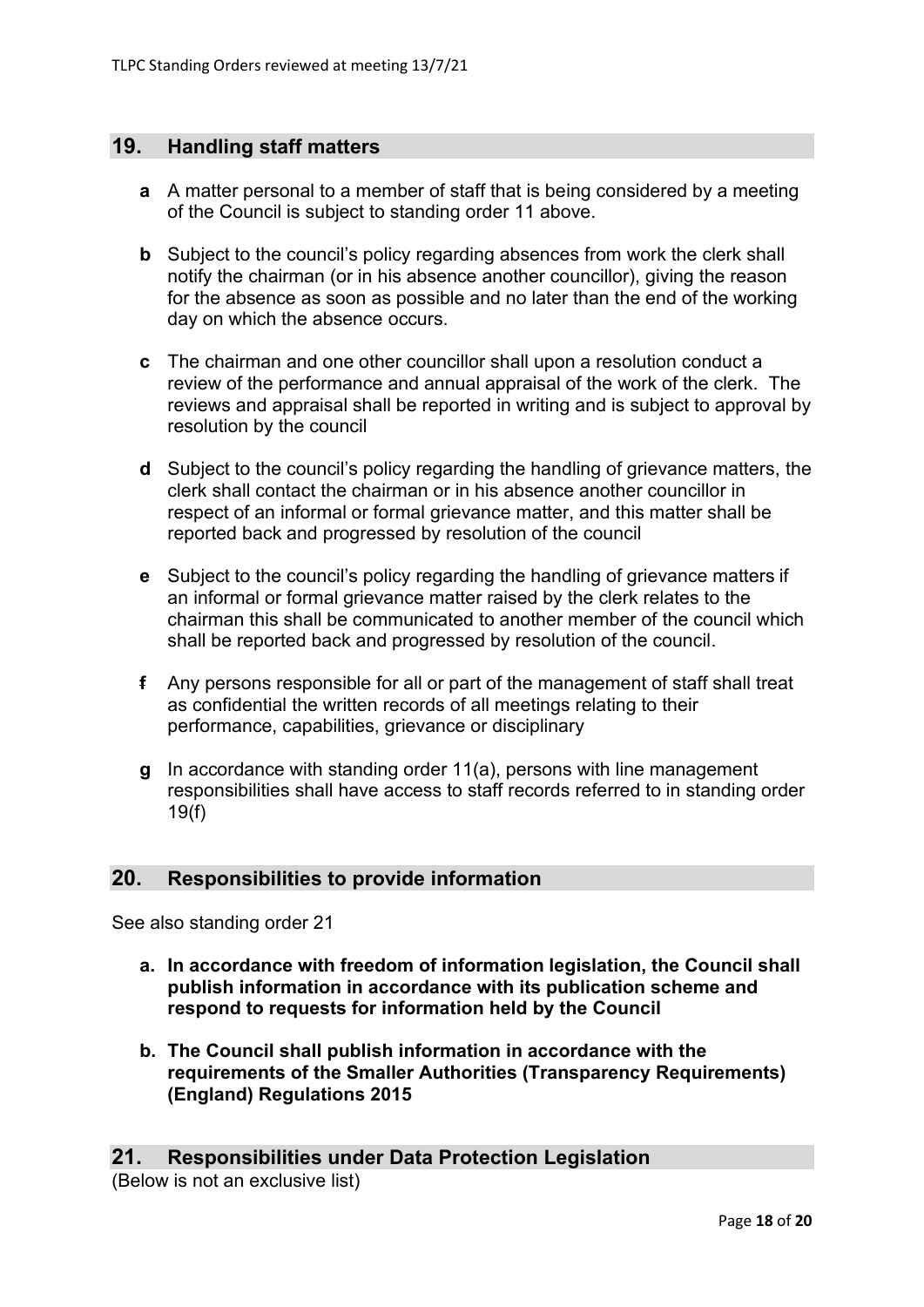# **19. Handling staff matters**

- **a** A matter personal to a member of staff that is being considered by a meeting of the Council is subject to standing order 11 above.
- **b** Subject to the council's policy regarding absences from work the clerk shall notify the chairman (or in his absence another councillor), giving the reason for the absence as soon as possible and no later than the end of the working day on which the absence occurs.
- **c** The chairman and one other councillor shall upon a resolution conduct a review of the performance and annual appraisal of the work of the clerk. The reviews and appraisal shall be reported in writing and is subject to approval by resolution by the council
- **d** Subject to the council's policy regarding the handling of grievance matters, the clerk shall contact the chairman or in his absence another councillor in respect of an informal or formal grievance matter, and this matter shall be reported back and progressed by resolution of the council
- **e** Subject to the council's policy regarding the handling of grievance matters if an informal or formal grievance matter raised by the clerk relates to the chairman this shall be communicated to another member of the council which shall be reported back and progressed by resolution of the council.
- **f** Any persons responsible for all or part of the management of staff shall treat as confidential the written records of all meetings relating to their performance, capabilities, grievance or disciplinary
- **g** In accordance with standing order 11(a), persons with line management responsibilities shall have access to staff records referred to in standing order 19(f)

## **20. Responsibilities to provide information**

See also standing order 21

- **a. In accordance with freedom of information legislation, the Council shall publish information in accordance with its publication scheme and respond to requests for information held by the Council**
- **b. The Council shall publish information in accordance with the requirements of the Smaller Authorities (Transparency Requirements) (England) Regulations 2015**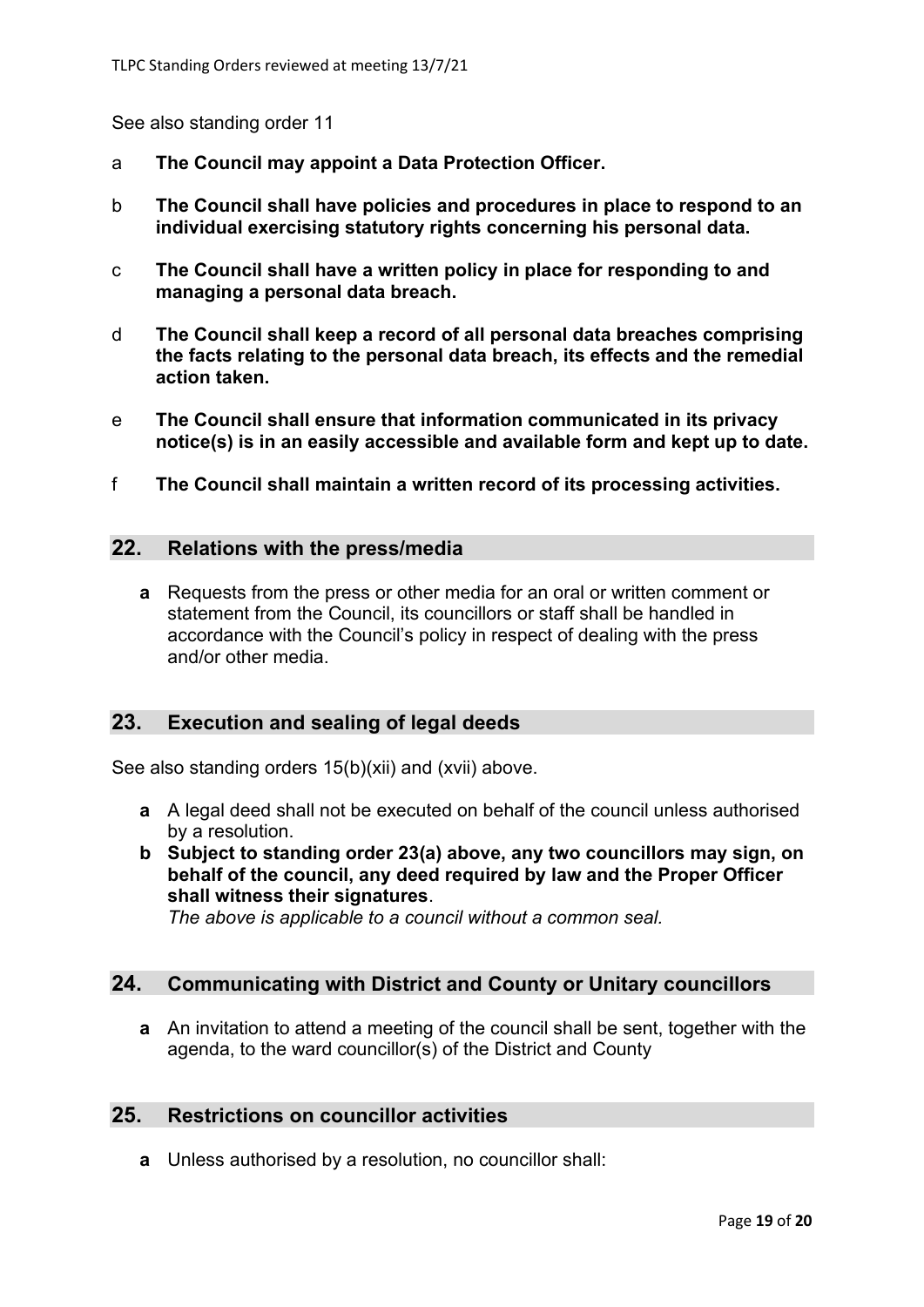See also standing order 11

- a **The Council may appoint a Data Protection Officer.**
- b **The Council shall have policies and procedures in place to respond to an individual exercising statutory rights concerning his personal data.**
- c **The Council shall have a written policy in place for responding to and managing a personal data breach.**
- d **The Council shall keep a record of all personal data breaches comprising the facts relating to the personal data breach, its effects and the remedial action taken.**
- e **The Council shall ensure that information communicated in its privacy notice(s) is in an easily accessible and available form and kept up to date.**
- f **The Council shall maintain a written record of its processing activities.**

#### **22. Relations with the press/media**

**a** Requests from the press or other media for an oral or written comment or statement from the Council, its councillors or staff shall be handled in accordance with the Council's policy in respect of dealing with the press and/or other media.

# **23. Execution and sealing of legal deeds**

See also standing orders 15(b)(xii) and (xvii) above.

- **a** A legal deed shall not be executed on behalf of the council unless authorised by a resolution.
- **b Subject to standing order 23(a) above, any two councillors may sign, on behalf of the council, any deed required by law and the Proper Officer shall witness their signatures**.

*The above is applicable to a council without a common seal.*

#### **24. Communicating with District and County or Unitary councillors**

**a** An invitation to attend a meeting of the council shall be sent, together with the agenda, to the ward councillor(s) of the District and County

## **25. Restrictions on councillor activities**

**a** Unless authorised by a resolution, no councillor shall: